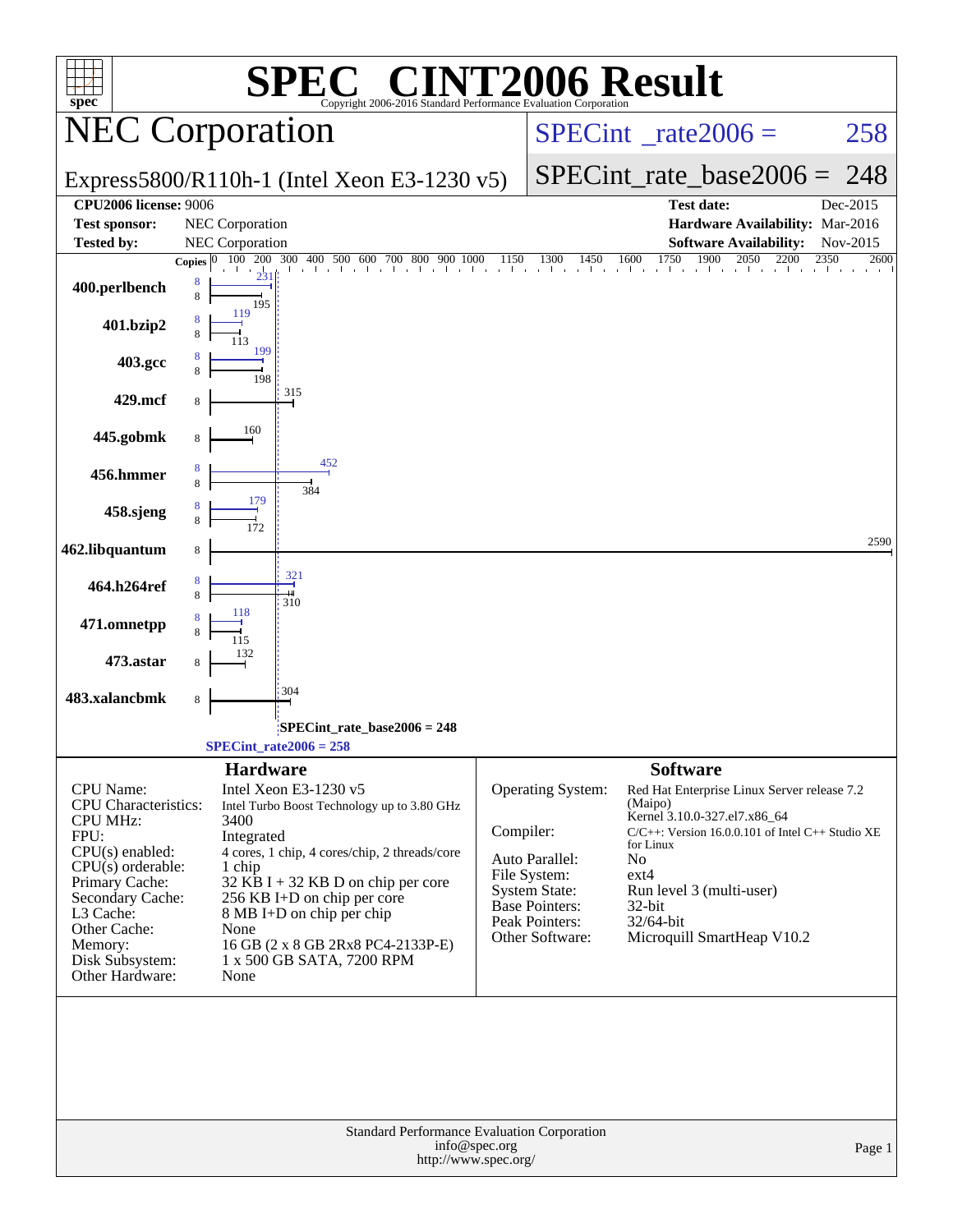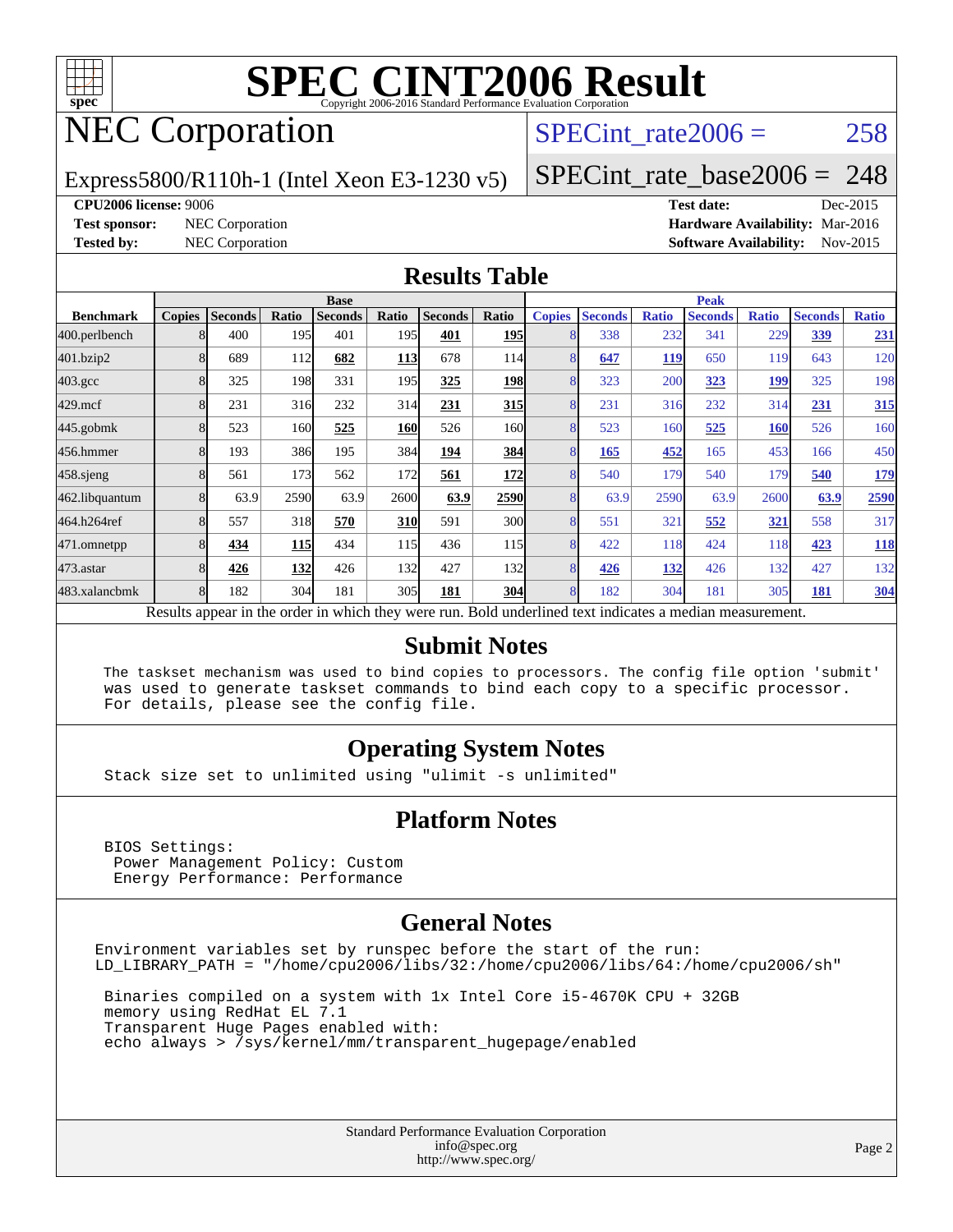

# NEC Corporation

SPECint rate $2006 = 258$ 

#### Express5800/R110h-1 (Intel Xeon E3-1230 v5)

[SPECint\\_rate\\_base2006 =](http://www.spec.org/auto/cpu2006/Docs/result-fields.html#SPECintratebase2006) 248

#### **[CPU2006 license:](http://www.spec.org/auto/cpu2006/Docs/result-fields.html#CPU2006license)** 9006 **[Test date:](http://www.spec.org/auto/cpu2006/Docs/result-fields.html#Testdate)** Dec-2015

**[Test sponsor:](http://www.spec.org/auto/cpu2006/Docs/result-fields.html#Testsponsor)** NEC Corporation **NEC Corporation [Hardware Availability:](http://www.spec.org/auto/cpu2006/Docs/result-fields.html#HardwareAvailability)** Mar-2016 **[Tested by:](http://www.spec.org/auto/cpu2006/Docs/result-fields.html#Testedby)** NEC Corporation **[Software Availability:](http://www.spec.org/auto/cpu2006/Docs/result-fields.html#SoftwareAvailability)** Nov-2015

#### **[Results Table](http://www.spec.org/auto/cpu2006/Docs/result-fields.html#ResultsTable)**

|                                                                                                          | <b>Base</b>   |                |       |                |            |                | <b>Peak</b> |                |                |              |                |              |                |              |
|----------------------------------------------------------------------------------------------------------|---------------|----------------|-------|----------------|------------|----------------|-------------|----------------|----------------|--------------|----------------|--------------|----------------|--------------|
| <b>Benchmark</b>                                                                                         | <b>Copies</b> | <b>Seconds</b> | Ratio | <b>Seconds</b> | Ratio      | <b>Seconds</b> | Ratio       | <b>Copies</b>  | <b>Seconds</b> | <b>Ratio</b> | <b>Seconds</b> | <b>Ratio</b> | <b>Seconds</b> | <b>Ratio</b> |
| 400.perlbench                                                                                            |               | 400            | 195   | 401            | 195        | 401            | <b>195</b>  |                | 338            | 232          | 341            | 229          | 339            | 231          |
| 401.bzip2                                                                                                |               | 689            | 112   | 682            | <b>113</b> | 678            | 114         |                | 647            | 119          | 650            | 119          | 643            | 120          |
| $403.\text{gcc}$                                                                                         |               | 325            | 198   | 331            | 195        | 325            | <b>198</b>  | 8              | 323            | 200          | 323            | <u> 199</u>  | 325            | 198          |
| $429$ .mcf                                                                                               | 8             | 231            | 316   | 232            | 314        | 231            | 315         | 8              | 231            | 316          | 232            | 314          | 231            | 315          |
| $445$ .gobmk                                                                                             |               | 523            | 160   | 525            | <u>160</u> | 526            | 160l        |                | 523            | 160          | 525            | <b>160</b>   | 526            | 160          |
| 456.hmmer                                                                                                |               | 193            | 386   | 195            | 384        | 194            | 384         | 8              | 165            | 452          | 165            | 453          | 166            | 450          |
| $458$ .sjeng                                                                                             |               | 561            | 173   | 562            | 172        | 561            | 172         | $\overline{8}$ | 540            | 179          | 540            | 179          | 540            | <u>179</u>   |
| 462.libquantum                                                                                           |               | 63.9           | 2590  | 63.9           | 2600       | 63.9           | 2590        |                | 63.9           | 2590         | 63.9           | 2600         | 63.9           | 2590         |
| 464.h264ref                                                                                              |               | 557            | 318   | 570            | <b>310</b> | 591            | 300l        |                | 551            | 321          | 552            | <u>321</u>   | 558            | 317          |
| 471.omnetpp                                                                                              |               | 434            | 115   | 434            | 115        | 436            | 115         | 8              | 422            | 118          | 424            | 118          | 423            | <b>118</b>   |
| 473.astar                                                                                                | 8             | 426            | 132   | 426            | 132        | 427            | 132         | 8              | 426            | 132          | 426            | 132          | 427            | 132          |
| 483.xalancbmk                                                                                            |               | 182            | 304   | 181            | 305        | 181            | <b>304</b>  | 8              | 182            | 304          | 181            | 305          | 181            | <b>304</b>   |
| Results appear in the order in which they were run. Bold underlined text indicates a median measurement. |               |                |       |                |            |                |             |                |                |              |                |              |                |              |

#### **[Submit Notes](http://www.spec.org/auto/cpu2006/Docs/result-fields.html#SubmitNotes)**

 The taskset mechanism was used to bind copies to processors. The config file option 'submit' was used to generate taskset commands to bind each copy to a specific processor. For details, please see the config file.

#### **[Operating System Notes](http://www.spec.org/auto/cpu2006/Docs/result-fields.html#OperatingSystemNotes)**

Stack size set to unlimited using "ulimit -s unlimited"

#### **[Platform Notes](http://www.spec.org/auto/cpu2006/Docs/result-fields.html#PlatformNotes)**

 BIOS Settings: Power Management Policy: Custom Energy Performance: Performance

#### **[General Notes](http://www.spec.org/auto/cpu2006/Docs/result-fields.html#GeneralNotes)**

Environment variables set by runspec before the start of the run: LD\_LIBRARY\_PATH = "/home/cpu2006/libs/32:/home/cpu2006/libs/64:/home/cpu2006/sh"

 Binaries compiled on a system with 1x Intel Core i5-4670K CPU + 32GB memory using RedHat EL 7.1 Transparent Huge Pages enabled with: echo always > /sys/kernel/mm/transparent\_hugepage/enabled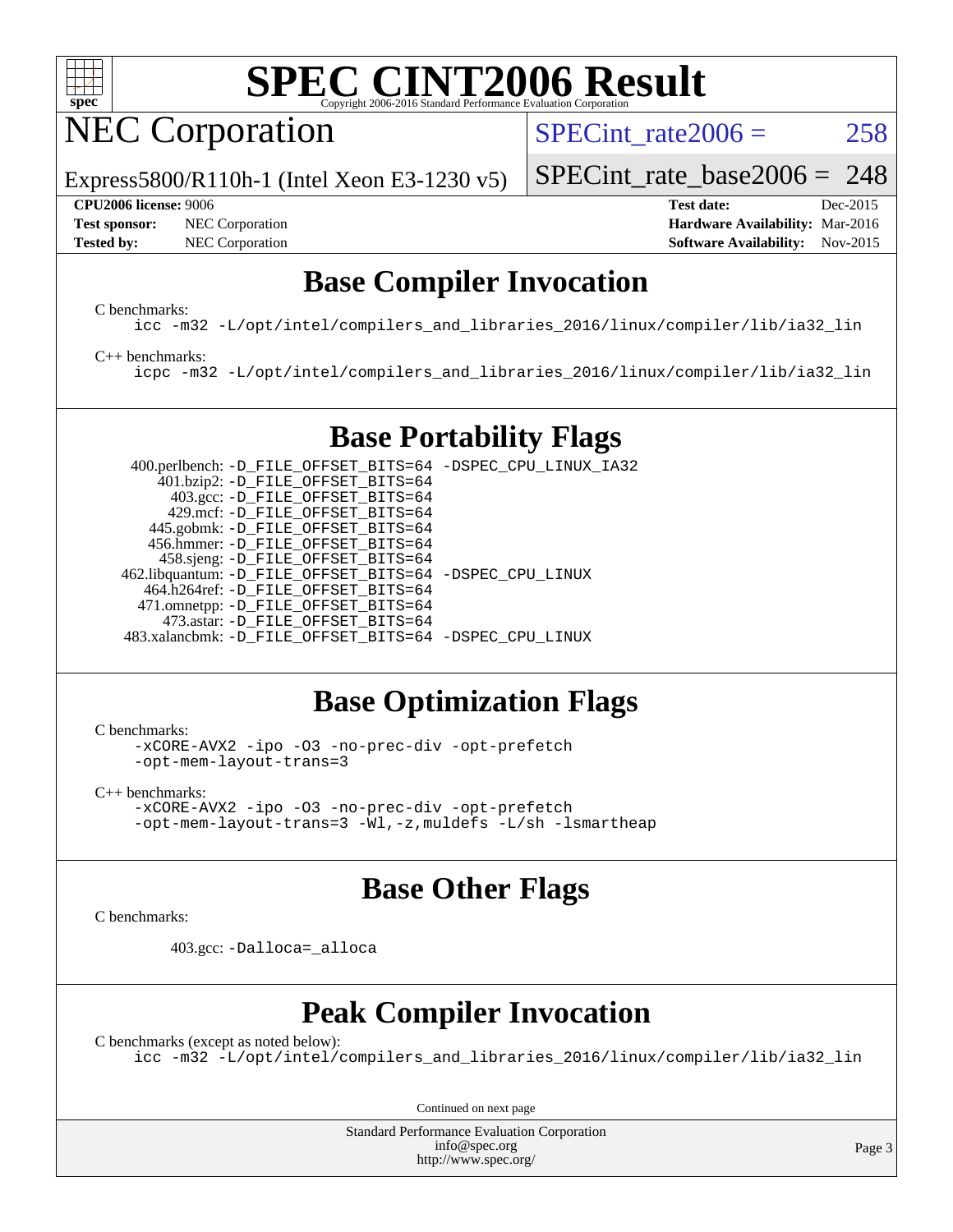

NEC Corporation

SPECint rate $2006 = 258$ 

Express5800/R110h-1 (Intel Xeon E3-1230 v5)

#### **[CPU2006 license:](http://www.spec.org/auto/cpu2006/Docs/result-fields.html#CPU2006license)** 9006 **[Test date:](http://www.spec.org/auto/cpu2006/Docs/result-fields.html#Testdate)** Dec-2015

**[Test sponsor:](http://www.spec.org/auto/cpu2006/Docs/result-fields.html#Testsponsor)** NEC Corporation **NEC Corporation [Hardware Availability:](http://www.spec.org/auto/cpu2006/Docs/result-fields.html#HardwareAvailability)** Mar-2016

[SPECint\\_rate\\_base2006 =](http://www.spec.org/auto/cpu2006/Docs/result-fields.html#SPECintratebase2006) 248

**[Tested by:](http://www.spec.org/auto/cpu2006/Docs/result-fields.html#Testedby)** NEC Corporation **[Software Availability:](http://www.spec.org/auto/cpu2006/Docs/result-fields.html#SoftwareAvailability)** Nov-2015

### **[Base Compiler Invocation](http://www.spec.org/auto/cpu2006/Docs/result-fields.html#BaseCompilerInvocation)**

[C benchmarks](http://www.spec.org/auto/cpu2006/Docs/result-fields.html#Cbenchmarks):

[icc -m32 -L/opt/intel/compilers\\_and\\_libraries\\_2016/linux/compiler/lib/ia32\\_lin](http://www.spec.org/cpu2006/results/res2016q1/cpu2006-20160125-38801.flags.html#user_CCbase_intel_icc_e10256ba5924b668798078a321b0cb3f)

#### [C++ benchmarks:](http://www.spec.org/auto/cpu2006/Docs/result-fields.html#CXXbenchmarks)

[icpc -m32 -L/opt/intel/compilers\\_and\\_libraries\\_2016/linux/compiler/lib/ia32\\_lin](http://www.spec.org/cpu2006/results/res2016q1/cpu2006-20160125-38801.flags.html#user_CXXbase_intel_icpc_b4f50a394bdb4597aa5879c16bc3f5c5)

## **[Base Portability Flags](http://www.spec.org/auto/cpu2006/Docs/result-fields.html#BasePortabilityFlags)**

 400.perlbench: [-D\\_FILE\\_OFFSET\\_BITS=64](http://www.spec.org/cpu2006/results/res2016q1/cpu2006-20160125-38801.flags.html#user_basePORTABILITY400_perlbench_file_offset_bits_64_438cf9856305ebd76870a2c6dc2689ab) [-DSPEC\\_CPU\\_LINUX\\_IA32](http://www.spec.org/cpu2006/results/res2016q1/cpu2006-20160125-38801.flags.html#b400.perlbench_baseCPORTABILITY_DSPEC_CPU_LINUX_IA32) 401.bzip2: [-D\\_FILE\\_OFFSET\\_BITS=64](http://www.spec.org/cpu2006/results/res2016q1/cpu2006-20160125-38801.flags.html#user_basePORTABILITY401_bzip2_file_offset_bits_64_438cf9856305ebd76870a2c6dc2689ab) 403.gcc: [-D\\_FILE\\_OFFSET\\_BITS=64](http://www.spec.org/cpu2006/results/res2016q1/cpu2006-20160125-38801.flags.html#user_basePORTABILITY403_gcc_file_offset_bits_64_438cf9856305ebd76870a2c6dc2689ab) 429.mcf: [-D\\_FILE\\_OFFSET\\_BITS=64](http://www.spec.org/cpu2006/results/res2016q1/cpu2006-20160125-38801.flags.html#user_basePORTABILITY429_mcf_file_offset_bits_64_438cf9856305ebd76870a2c6dc2689ab) 445.gobmk: [-D\\_FILE\\_OFFSET\\_BITS=64](http://www.spec.org/cpu2006/results/res2016q1/cpu2006-20160125-38801.flags.html#user_basePORTABILITY445_gobmk_file_offset_bits_64_438cf9856305ebd76870a2c6dc2689ab) 456.hmmer: [-D\\_FILE\\_OFFSET\\_BITS=64](http://www.spec.org/cpu2006/results/res2016q1/cpu2006-20160125-38801.flags.html#user_basePORTABILITY456_hmmer_file_offset_bits_64_438cf9856305ebd76870a2c6dc2689ab) 458.sjeng: [-D\\_FILE\\_OFFSET\\_BITS=64](http://www.spec.org/cpu2006/results/res2016q1/cpu2006-20160125-38801.flags.html#user_basePORTABILITY458_sjeng_file_offset_bits_64_438cf9856305ebd76870a2c6dc2689ab) 462.libquantum: [-D\\_FILE\\_OFFSET\\_BITS=64](http://www.spec.org/cpu2006/results/res2016q1/cpu2006-20160125-38801.flags.html#user_basePORTABILITY462_libquantum_file_offset_bits_64_438cf9856305ebd76870a2c6dc2689ab) [-DSPEC\\_CPU\\_LINUX](http://www.spec.org/cpu2006/results/res2016q1/cpu2006-20160125-38801.flags.html#b462.libquantum_baseCPORTABILITY_DSPEC_CPU_LINUX) 464.h264ref: [-D\\_FILE\\_OFFSET\\_BITS=64](http://www.spec.org/cpu2006/results/res2016q1/cpu2006-20160125-38801.flags.html#user_basePORTABILITY464_h264ref_file_offset_bits_64_438cf9856305ebd76870a2c6dc2689ab) 471.omnetpp: [-D\\_FILE\\_OFFSET\\_BITS=64](http://www.spec.org/cpu2006/results/res2016q1/cpu2006-20160125-38801.flags.html#user_basePORTABILITY471_omnetpp_file_offset_bits_64_438cf9856305ebd76870a2c6dc2689ab) 473.astar: [-D\\_FILE\\_OFFSET\\_BITS=64](http://www.spec.org/cpu2006/results/res2016q1/cpu2006-20160125-38801.flags.html#user_basePORTABILITY473_astar_file_offset_bits_64_438cf9856305ebd76870a2c6dc2689ab) 483.xalancbmk: [-D\\_FILE\\_OFFSET\\_BITS=64](http://www.spec.org/cpu2006/results/res2016q1/cpu2006-20160125-38801.flags.html#user_basePORTABILITY483_xalancbmk_file_offset_bits_64_438cf9856305ebd76870a2c6dc2689ab) [-DSPEC\\_CPU\\_LINUX](http://www.spec.org/cpu2006/results/res2016q1/cpu2006-20160125-38801.flags.html#b483.xalancbmk_baseCXXPORTABILITY_DSPEC_CPU_LINUX)

## **[Base Optimization Flags](http://www.spec.org/auto/cpu2006/Docs/result-fields.html#BaseOptimizationFlags)**

[C benchmarks](http://www.spec.org/auto/cpu2006/Docs/result-fields.html#Cbenchmarks):

[-xCORE-AVX2](http://www.spec.org/cpu2006/results/res2016q1/cpu2006-20160125-38801.flags.html#user_CCbase_f-xAVX2_5f5fc0cbe2c9f62c816d3e45806c70d7) [-ipo](http://www.spec.org/cpu2006/results/res2016q1/cpu2006-20160125-38801.flags.html#user_CCbase_f-ipo) [-O3](http://www.spec.org/cpu2006/results/res2016q1/cpu2006-20160125-38801.flags.html#user_CCbase_f-O3) [-no-prec-div](http://www.spec.org/cpu2006/results/res2016q1/cpu2006-20160125-38801.flags.html#user_CCbase_f-no-prec-div) [-opt-prefetch](http://www.spec.org/cpu2006/results/res2016q1/cpu2006-20160125-38801.flags.html#user_CCbase_f-opt-prefetch) [-opt-mem-layout-trans=3](http://www.spec.org/cpu2006/results/res2016q1/cpu2006-20160125-38801.flags.html#user_CCbase_f-opt-mem-layout-trans_a7b82ad4bd7abf52556d4961a2ae94d5)

[C++ benchmarks:](http://www.spec.org/auto/cpu2006/Docs/result-fields.html#CXXbenchmarks) [-xCORE-AVX2](http://www.spec.org/cpu2006/results/res2016q1/cpu2006-20160125-38801.flags.html#user_CXXbase_f-xAVX2_5f5fc0cbe2c9f62c816d3e45806c70d7) [-ipo](http://www.spec.org/cpu2006/results/res2016q1/cpu2006-20160125-38801.flags.html#user_CXXbase_f-ipo) [-O3](http://www.spec.org/cpu2006/results/res2016q1/cpu2006-20160125-38801.flags.html#user_CXXbase_f-O3) [-no-prec-div](http://www.spec.org/cpu2006/results/res2016q1/cpu2006-20160125-38801.flags.html#user_CXXbase_f-no-prec-div) [-opt-prefetch](http://www.spec.org/cpu2006/results/res2016q1/cpu2006-20160125-38801.flags.html#user_CXXbase_f-opt-prefetch) [-opt-mem-layout-trans=3](http://www.spec.org/cpu2006/results/res2016q1/cpu2006-20160125-38801.flags.html#user_CXXbase_f-opt-mem-layout-trans_a7b82ad4bd7abf52556d4961a2ae94d5) [-Wl,-z,muldefs](http://www.spec.org/cpu2006/results/res2016q1/cpu2006-20160125-38801.flags.html#user_CXXbase_link_force_multiple1_74079c344b956b9658436fd1b6dd3a8a) [-L/sh -lsmartheap](http://www.spec.org/cpu2006/results/res2016q1/cpu2006-20160125-38801.flags.html#user_CXXbase_SmartHeap_32f6c82aa1ed9c52345d30cf6e4a0499)

## **[Base Other Flags](http://www.spec.org/auto/cpu2006/Docs/result-fields.html#BaseOtherFlags)**

[C benchmarks](http://www.spec.org/auto/cpu2006/Docs/result-fields.html#Cbenchmarks):

403.gcc: [-Dalloca=\\_alloca](http://www.spec.org/cpu2006/results/res2016q1/cpu2006-20160125-38801.flags.html#b403.gcc_baseEXTRA_CFLAGS_Dalloca_be3056838c12de2578596ca5467af7f3)

## **[Peak Compiler Invocation](http://www.spec.org/auto/cpu2006/Docs/result-fields.html#PeakCompilerInvocation)**

[C benchmarks \(except as noted below\)](http://www.spec.org/auto/cpu2006/Docs/result-fields.html#Cbenchmarksexceptasnotedbelow): [icc -m32 -L/opt/intel/compilers\\_and\\_libraries\\_2016/linux/compiler/lib/ia32\\_lin](http://www.spec.org/cpu2006/results/res2016q1/cpu2006-20160125-38801.flags.html#user_CCpeak_intel_icc_e10256ba5924b668798078a321b0cb3f)

Continued on next page

Standard Performance Evaluation Corporation [info@spec.org](mailto:info@spec.org) <http://www.spec.org/>

Page 3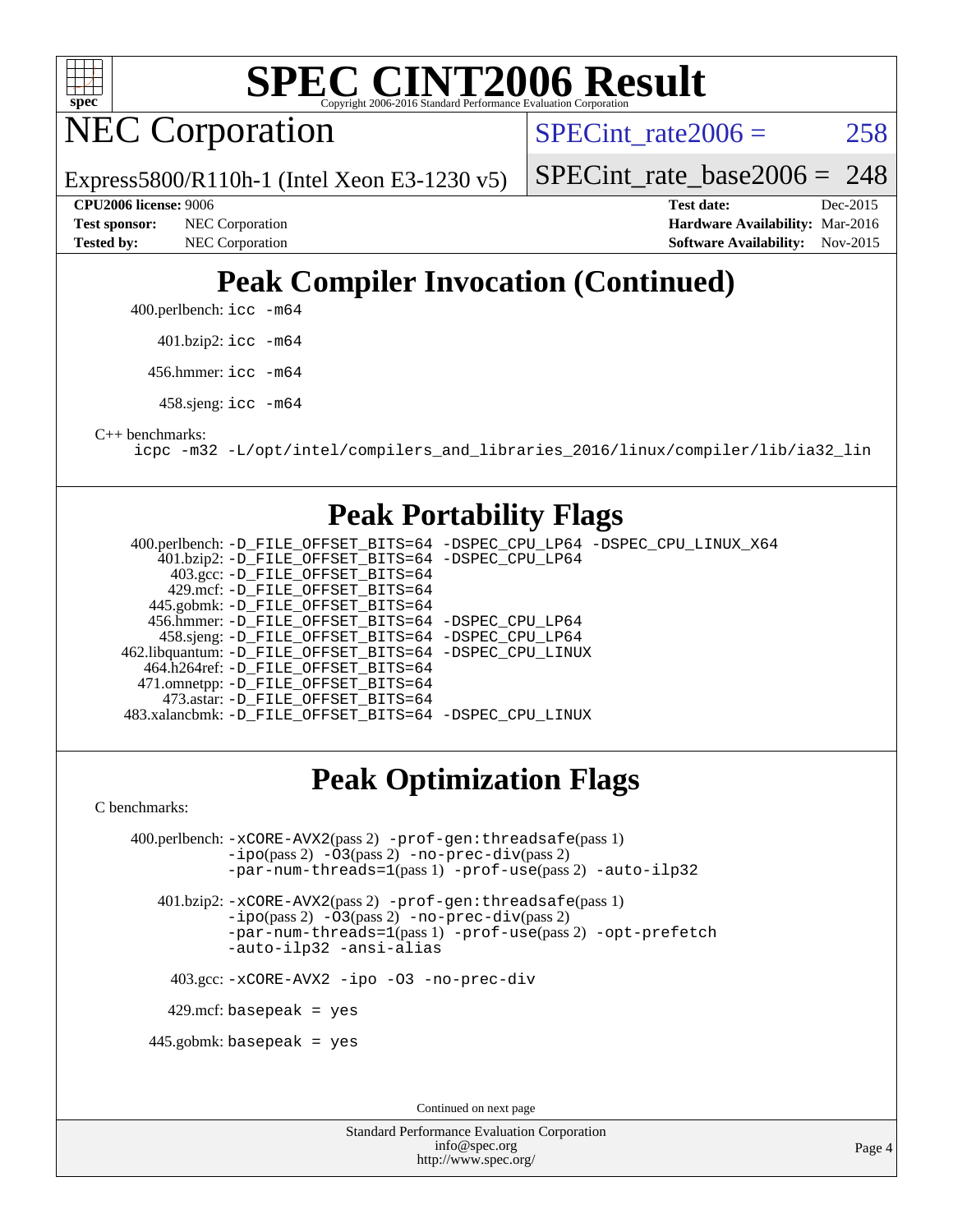

NEC Corporation

SPECint rate $2006 = 258$ 

Express5800/R110h-1 (Intel Xeon E3-1230 v5)

[SPECint\\_rate\\_base2006 =](http://www.spec.org/auto/cpu2006/Docs/result-fields.html#SPECintratebase2006) 248

**[Tested by:](http://www.spec.org/auto/cpu2006/Docs/result-fields.html#Testedby)** NEC Corporation **[Software Availability:](http://www.spec.org/auto/cpu2006/Docs/result-fields.html#SoftwareAvailability)** Nov-2015

**[CPU2006 license:](http://www.spec.org/auto/cpu2006/Docs/result-fields.html#CPU2006license)** 9006 **[Test date:](http://www.spec.org/auto/cpu2006/Docs/result-fields.html#Testdate)** Dec-2015 **[Test sponsor:](http://www.spec.org/auto/cpu2006/Docs/result-fields.html#Testsponsor)** NEC Corporation **NEC Corporation [Hardware Availability:](http://www.spec.org/auto/cpu2006/Docs/result-fields.html#HardwareAvailability)** Mar-2016

# **[Peak Compiler Invocation \(Continued\)](http://www.spec.org/auto/cpu2006/Docs/result-fields.html#PeakCompilerInvocation)**

400.perlbench: [icc -m64](http://www.spec.org/cpu2006/results/res2016q1/cpu2006-20160125-38801.flags.html#user_peakCCLD400_perlbench_intel_icc_64bit_bda6cc9af1fdbb0edc3795bac97ada53)

401.bzip2: [icc -m64](http://www.spec.org/cpu2006/results/res2016q1/cpu2006-20160125-38801.flags.html#user_peakCCLD401_bzip2_intel_icc_64bit_bda6cc9af1fdbb0edc3795bac97ada53)

456.hmmer: [icc -m64](http://www.spec.org/cpu2006/results/res2016q1/cpu2006-20160125-38801.flags.html#user_peakCCLD456_hmmer_intel_icc_64bit_bda6cc9af1fdbb0edc3795bac97ada53)

458.sjeng: [icc -m64](http://www.spec.org/cpu2006/results/res2016q1/cpu2006-20160125-38801.flags.html#user_peakCCLD458_sjeng_intel_icc_64bit_bda6cc9af1fdbb0edc3795bac97ada53)

[C++ benchmarks:](http://www.spec.org/auto/cpu2006/Docs/result-fields.html#CXXbenchmarks)

[icpc -m32 -L/opt/intel/compilers\\_and\\_libraries\\_2016/linux/compiler/lib/ia32\\_lin](http://www.spec.org/cpu2006/results/res2016q1/cpu2006-20160125-38801.flags.html#user_CXXpeak_intel_icpc_b4f50a394bdb4597aa5879c16bc3f5c5)

### **[Peak Portability Flags](http://www.spec.org/auto/cpu2006/Docs/result-fields.html#PeakPortabilityFlags)**

 400.perlbench: [-D\\_FILE\\_OFFSET\\_BITS=64](http://www.spec.org/cpu2006/results/res2016q1/cpu2006-20160125-38801.flags.html#user_peakPORTABILITY400_perlbench_file_offset_bits_64_438cf9856305ebd76870a2c6dc2689ab) [-DSPEC\\_CPU\\_LP64](http://www.spec.org/cpu2006/results/res2016q1/cpu2006-20160125-38801.flags.html#b400.perlbench_peakCPORTABILITY_DSPEC_CPU_LP64) [-DSPEC\\_CPU\\_LINUX\\_X64](http://www.spec.org/cpu2006/results/res2016q1/cpu2006-20160125-38801.flags.html#b400.perlbench_peakCPORTABILITY_DSPEC_CPU_LINUX_X64) 401.bzip2: [-D\\_FILE\\_OFFSET\\_BITS=64](http://www.spec.org/cpu2006/results/res2016q1/cpu2006-20160125-38801.flags.html#user_peakPORTABILITY401_bzip2_file_offset_bits_64_438cf9856305ebd76870a2c6dc2689ab) [-DSPEC\\_CPU\\_LP64](http://www.spec.org/cpu2006/results/res2016q1/cpu2006-20160125-38801.flags.html#suite_peakCPORTABILITY401_bzip2_DSPEC_CPU_LP64) 403.gcc: [-D\\_FILE\\_OFFSET\\_BITS=64](http://www.spec.org/cpu2006/results/res2016q1/cpu2006-20160125-38801.flags.html#user_peakPORTABILITY403_gcc_file_offset_bits_64_438cf9856305ebd76870a2c6dc2689ab) 429.mcf: [-D\\_FILE\\_OFFSET\\_BITS=64](http://www.spec.org/cpu2006/results/res2016q1/cpu2006-20160125-38801.flags.html#user_peakPORTABILITY429_mcf_file_offset_bits_64_438cf9856305ebd76870a2c6dc2689ab) 445.gobmk: [-D\\_FILE\\_OFFSET\\_BITS=64](http://www.spec.org/cpu2006/results/res2016q1/cpu2006-20160125-38801.flags.html#user_peakPORTABILITY445_gobmk_file_offset_bits_64_438cf9856305ebd76870a2c6dc2689ab) 456.hmmer: [-D\\_FILE\\_OFFSET\\_BITS=64](http://www.spec.org/cpu2006/results/res2016q1/cpu2006-20160125-38801.flags.html#user_peakPORTABILITY456_hmmer_file_offset_bits_64_438cf9856305ebd76870a2c6dc2689ab) [-DSPEC\\_CPU\\_LP64](http://www.spec.org/cpu2006/results/res2016q1/cpu2006-20160125-38801.flags.html#suite_peakCPORTABILITY456_hmmer_DSPEC_CPU_LP64) 458.sjeng: [-D\\_FILE\\_OFFSET\\_BITS=64](http://www.spec.org/cpu2006/results/res2016q1/cpu2006-20160125-38801.flags.html#user_peakPORTABILITY458_sjeng_file_offset_bits_64_438cf9856305ebd76870a2c6dc2689ab) [-DSPEC\\_CPU\\_LP64](http://www.spec.org/cpu2006/results/res2016q1/cpu2006-20160125-38801.flags.html#suite_peakCPORTABILITY458_sjeng_DSPEC_CPU_LP64) 462.libquantum: [-D\\_FILE\\_OFFSET\\_BITS=64](http://www.spec.org/cpu2006/results/res2016q1/cpu2006-20160125-38801.flags.html#user_peakPORTABILITY462_libquantum_file_offset_bits_64_438cf9856305ebd76870a2c6dc2689ab) [-DSPEC\\_CPU\\_LINUX](http://www.spec.org/cpu2006/results/res2016q1/cpu2006-20160125-38801.flags.html#b462.libquantum_peakCPORTABILITY_DSPEC_CPU_LINUX) 464.h264ref: [-D\\_FILE\\_OFFSET\\_BITS=64](http://www.spec.org/cpu2006/results/res2016q1/cpu2006-20160125-38801.flags.html#user_peakPORTABILITY464_h264ref_file_offset_bits_64_438cf9856305ebd76870a2c6dc2689ab) 471.omnetpp: [-D\\_FILE\\_OFFSET\\_BITS=64](http://www.spec.org/cpu2006/results/res2016q1/cpu2006-20160125-38801.flags.html#user_peakPORTABILITY471_omnetpp_file_offset_bits_64_438cf9856305ebd76870a2c6dc2689ab) 473.astar: [-D\\_FILE\\_OFFSET\\_BITS=64](http://www.spec.org/cpu2006/results/res2016q1/cpu2006-20160125-38801.flags.html#user_peakPORTABILITY473_astar_file_offset_bits_64_438cf9856305ebd76870a2c6dc2689ab) 483.xalancbmk: [-D\\_FILE\\_OFFSET\\_BITS=64](http://www.spec.org/cpu2006/results/res2016q1/cpu2006-20160125-38801.flags.html#user_peakPORTABILITY483_xalancbmk_file_offset_bits_64_438cf9856305ebd76870a2c6dc2689ab) [-DSPEC\\_CPU\\_LINUX](http://www.spec.org/cpu2006/results/res2016q1/cpu2006-20160125-38801.flags.html#b483.xalancbmk_peakCXXPORTABILITY_DSPEC_CPU_LINUX)

## **[Peak Optimization Flags](http://www.spec.org/auto/cpu2006/Docs/result-fields.html#PeakOptimizationFlags)**

[C benchmarks](http://www.spec.org/auto/cpu2006/Docs/result-fields.html#Cbenchmarks):

 400.perlbench: [-xCORE-AVX2](http://www.spec.org/cpu2006/results/res2016q1/cpu2006-20160125-38801.flags.html#user_peakPASS2_CFLAGSPASS2_LDCFLAGS400_perlbench_f-xAVX2_5f5fc0cbe2c9f62c816d3e45806c70d7)(pass 2) [-prof-gen:threadsafe](http://www.spec.org/cpu2006/results/res2016q1/cpu2006-20160125-38801.flags.html#user_peakPASS1_CFLAGSPASS1_LDCFLAGS400_perlbench_prof_gen_21a26eb79f378b550acd7bec9fe4467a)(pass 1) [-ipo](http://www.spec.org/cpu2006/results/res2016q1/cpu2006-20160125-38801.flags.html#user_peakPASS2_CFLAGSPASS2_LDCFLAGS400_perlbench_f-ipo)(pass 2) [-O3](http://www.spec.org/cpu2006/results/res2016q1/cpu2006-20160125-38801.flags.html#user_peakPASS2_CFLAGSPASS2_LDCFLAGS400_perlbench_f-O3)(pass 2) [-no-prec-div](http://www.spec.org/cpu2006/results/res2016q1/cpu2006-20160125-38801.flags.html#user_peakPASS2_CFLAGSPASS2_LDCFLAGS400_perlbench_f-no-prec-div)(pass 2) [-par-num-threads=1](http://www.spec.org/cpu2006/results/res2016q1/cpu2006-20160125-38801.flags.html#user_peakPASS1_CFLAGSPASS1_LDCFLAGS400_perlbench_par_num_threads_786a6ff141b4e9e90432e998842df6c2)(pass 1) [-prof-use](http://www.spec.org/cpu2006/results/res2016q1/cpu2006-20160125-38801.flags.html#user_peakPASS2_CFLAGSPASS2_LDCFLAGS400_perlbench_prof_use_bccf7792157ff70d64e32fe3e1250b55)(pass 2) [-auto-ilp32](http://www.spec.org/cpu2006/results/res2016q1/cpu2006-20160125-38801.flags.html#user_peakCOPTIMIZE400_perlbench_f-auto-ilp32)

 401.bzip2: [-xCORE-AVX2](http://www.spec.org/cpu2006/results/res2016q1/cpu2006-20160125-38801.flags.html#user_peakPASS2_CFLAGSPASS2_LDCFLAGS401_bzip2_f-xAVX2_5f5fc0cbe2c9f62c816d3e45806c70d7)(pass 2) [-prof-gen:threadsafe](http://www.spec.org/cpu2006/results/res2016q1/cpu2006-20160125-38801.flags.html#user_peakPASS1_CFLAGSPASS1_LDCFLAGS401_bzip2_prof_gen_21a26eb79f378b550acd7bec9fe4467a)(pass 1) [-ipo](http://www.spec.org/cpu2006/results/res2016q1/cpu2006-20160125-38801.flags.html#user_peakPASS2_CFLAGSPASS2_LDCFLAGS401_bzip2_f-ipo)(pass 2) [-O3](http://www.spec.org/cpu2006/results/res2016q1/cpu2006-20160125-38801.flags.html#user_peakPASS2_CFLAGSPASS2_LDCFLAGS401_bzip2_f-O3)(pass 2) [-no-prec-div](http://www.spec.org/cpu2006/results/res2016q1/cpu2006-20160125-38801.flags.html#user_peakPASS2_CFLAGSPASS2_LDCFLAGS401_bzip2_f-no-prec-div)(pass 2) [-par-num-threads=1](http://www.spec.org/cpu2006/results/res2016q1/cpu2006-20160125-38801.flags.html#user_peakPASS1_CFLAGSPASS1_LDCFLAGS401_bzip2_par_num_threads_786a6ff141b4e9e90432e998842df6c2)(pass 1) [-prof-use](http://www.spec.org/cpu2006/results/res2016q1/cpu2006-20160125-38801.flags.html#user_peakPASS2_CFLAGSPASS2_LDCFLAGS401_bzip2_prof_use_bccf7792157ff70d64e32fe3e1250b55)(pass 2) [-opt-prefetch](http://www.spec.org/cpu2006/results/res2016q1/cpu2006-20160125-38801.flags.html#user_peakCOPTIMIZE401_bzip2_f-opt-prefetch) [-auto-ilp32](http://www.spec.org/cpu2006/results/res2016q1/cpu2006-20160125-38801.flags.html#user_peakCOPTIMIZE401_bzip2_f-auto-ilp32) [-ansi-alias](http://www.spec.org/cpu2006/results/res2016q1/cpu2006-20160125-38801.flags.html#user_peakCOPTIMIZE401_bzip2_f-ansi-alias)

403.gcc: [-xCORE-AVX2](http://www.spec.org/cpu2006/results/res2016q1/cpu2006-20160125-38801.flags.html#user_peakCOPTIMIZE403_gcc_f-xAVX2_5f5fc0cbe2c9f62c816d3e45806c70d7) [-ipo](http://www.spec.org/cpu2006/results/res2016q1/cpu2006-20160125-38801.flags.html#user_peakCOPTIMIZE403_gcc_f-ipo) [-O3](http://www.spec.org/cpu2006/results/res2016q1/cpu2006-20160125-38801.flags.html#user_peakCOPTIMIZE403_gcc_f-O3) [-no-prec-div](http://www.spec.org/cpu2006/results/res2016q1/cpu2006-20160125-38801.flags.html#user_peakCOPTIMIZE403_gcc_f-no-prec-div)

 $429$ .mcf: basepeak = yes

445.gobmk: basepeak = yes

Continued on next page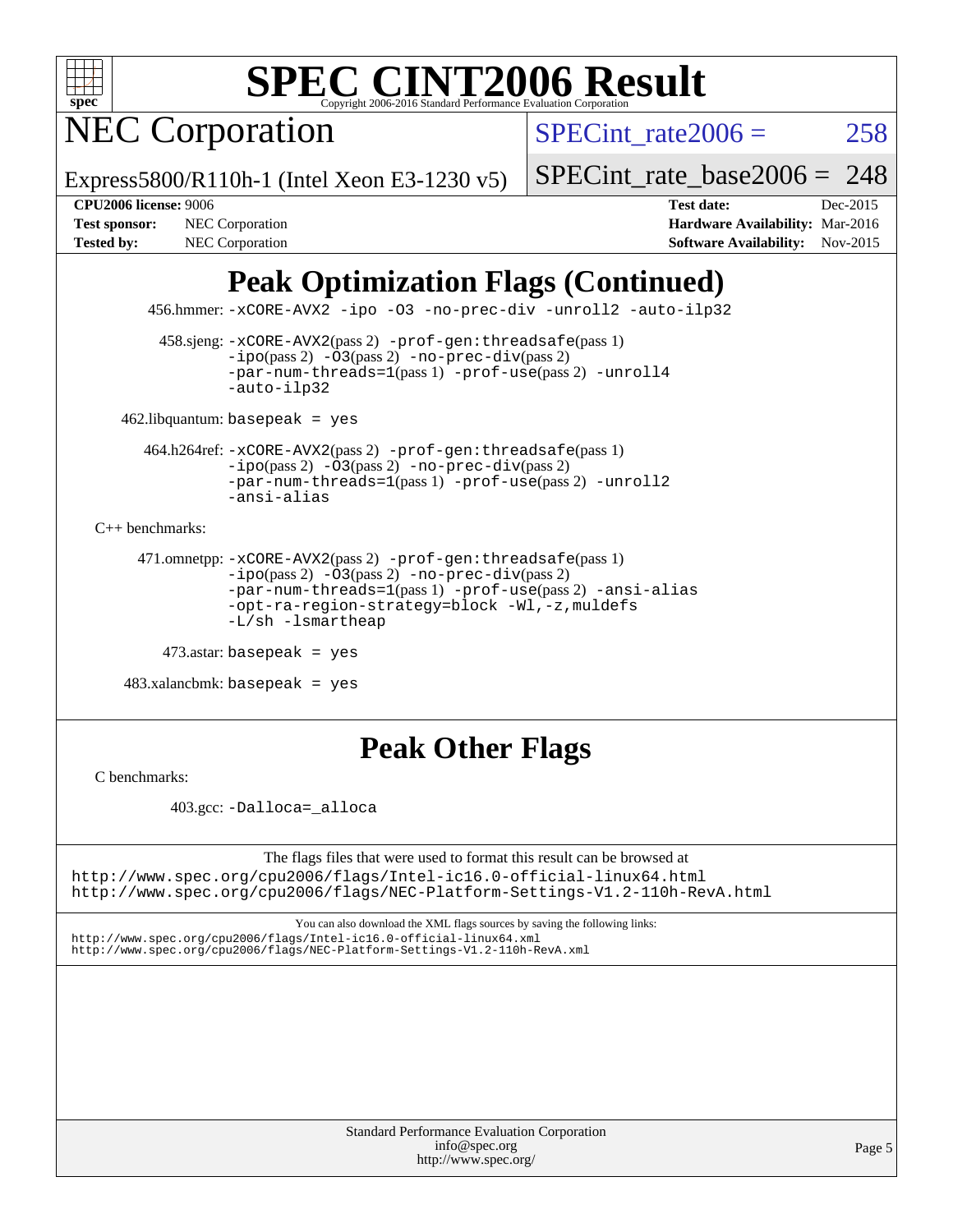

NEC Corporation

SPECint rate $2006 = 258$ 

Express5800/R110h-1 (Intel Xeon E3-1230 v5)

[SPECint\\_rate\\_base2006 =](http://www.spec.org/auto/cpu2006/Docs/result-fields.html#SPECintratebase2006) 248

**[CPU2006 license:](http://www.spec.org/auto/cpu2006/Docs/result-fields.html#CPU2006license)** 9006 **[Test date:](http://www.spec.org/auto/cpu2006/Docs/result-fields.html#Testdate)** Dec-2015 **[Test sponsor:](http://www.spec.org/auto/cpu2006/Docs/result-fields.html#Testsponsor)** NEC Corporation **NEC Corporation [Hardware Availability:](http://www.spec.org/auto/cpu2006/Docs/result-fields.html#HardwareAvailability)** Mar-2016 [Tested by:](http://www.spec.org/auto/cpu2006/Docs/result-fields.html#Testedby) NEC Corporation **[Software Availability:](http://www.spec.org/auto/cpu2006/Docs/result-fields.html#SoftwareAvailability)** Nov-2015

# **[Peak Optimization Flags \(Continued\)](http://www.spec.org/auto/cpu2006/Docs/result-fields.html#PeakOptimizationFlags)**

456.hmmer: [-xCORE-AVX2](http://www.spec.org/cpu2006/results/res2016q1/cpu2006-20160125-38801.flags.html#user_peakCOPTIMIZE456_hmmer_f-xAVX2_5f5fc0cbe2c9f62c816d3e45806c70d7) [-ipo](http://www.spec.org/cpu2006/results/res2016q1/cpu2006-20160125-38801.flags.html#user_peakCOPTIMIZE456_hmmer_f-ipo) [-O3](http://www.spec.org/cpu2006/results/res2016q1/cpu2006-20160125-38801.flags.html#user_peakCOPTIMIZE456_hmmer_f-O3) [-no-prec-div](http://www.spec.org/cpu2006/results/res2016q1/cpu2006-20160125-38801.flags.html#user_peakCOPTIMIZE456_hmmer_f-no-prec-div) [-unroll2](http://www.spec.org/cpu2006/results/res2016q1/cpu2006-20160125-38801.flags.html#user_peakCOPTIMIZE456_hmmer_f-unroll_784dae83bebfb236979b41d2422d7ec2) [-auto-ilp32](http://www.spec.org/cpu2006/results/res2016q1/cpu2006-20160125-38801.flags.html#user_peakCOPTIMIZE456_hmmer_f-auto-ilp32)

 458.sjeng: [-xCORE-AVX2](http://www.spec.org/cpu2006/results/res2016q1/cpu2006-20160125-38801.flags.html#user_peakPASS2_CFLAGSPASS2_LDCFLAGS458_sjeng_f-xAVX2_5f5fc0cbe2c9f62c816d3e45806c70d7)(pass 2) [-prof-gen:threadsafe](http://www.spec.org/cpu2006/results/res2016q1/cpu2006-20160125-38801.flags.html#user_peakPASS1_CFLAGSPASS1_LDCFLAGS458_sjeng_prof_gen_21a26eb79f378b550acd7bec9fe4467a)(pass 1)  $-i\text{po}(pass 2) -03(pass 2) -no-prec-div(pass 2)$  $-i\text{po}(pass 2) -03(pass 2) -no-prec-div(pass 2)$  $-i\text{po}(pass 2) -03(pass 2) -no-prec-div(pass 2)$ [-par-num-threads=1](http://www.spec.org/cpu2006/results/res2016q1/cpu2006-20160125-38801.flags.html#user_peakPASS1_CFLAGSPASS1_LDCFLAGS458_sjeng_par_num_threads_786a6ff141b4e9e90432e998842df6c2)(pass 1) [-prof-use](http://www.spec.org/cpu2006/results/res2016q1/cpu2006-20160125-38801.flags.html#user_peakPASS2_CFLAGSPASS2_LDCFLAGS458_sjeng_prof_use_bccf7792157ff70d64e32fe3e1250b55)(pass 2) [-unroll4](http://www.spec.org/cpu2006/results/res2016q1/cpu2006-20160125-38801.flags.html#user_peakCOPTIMIZE458_sjeng_f-unroll_4e5e4ed65b7fd20bdcd365bec371b81f) [-auto-ilp32](http://www.spec.org/cpu2006/results/res2016q1/cpu2006-20160125-38801.flags.html#user_peakCOPTIMIZE458_sjeng_f-auto-ilp32)

462.libquantum: basepeak = yes

 464.h264ref: [-xCORE-AVX2](http://www.spec.org/cpu2006/results/res2016q1/cpu2006-20160125-38801.flags.html#user_peakPASS2_CFLAGSPASS2_LDCFLAGS464_h264ref_f-xAVX2_5f5fc0cbe2c9f62c816d3e45806c70d7)(pass 2) [-prof-gen:threadsafe](http://www.spec.org/cpu2006/results/res2016q1/cpu2006-20160125-38801.flags.html#user_peakPASS1_CFLAGSPASS1_LDCFLAGS464_h264ref_prof_gen_21a26eb79f378b550acd7bec9fe4467a)(pass 1)  $-i\text{po}(pass 2) -\overline{O}3(pass 2)$  [-no-prec-div](http://www.spec.org/cpu2006/results/res2016q1/cpu2006-20160125-38801.flags.html#user_peakPASS2_CFLAGSPASS2_LDCFLAGS464_h264ref_f-no-prec-div)(pass 2) [-par-num-threads=1](http://www.spec.org/cpu2006/results/res2016q1/cpu2006-20160125-38801.flags.html#user_peakPASS1_CFLAGSPASS1_LDCFLAGS464_h264ref_par_num_threads_786a6ff141b4e9e90432e998842df6c2)(pass 1) [-prof-use](http://www.spec.org/cpu2006/results/res2016q1/cpu2006-20160125-38801.flags.html#user_peakPASS2_CFLAGSPASS2_LDCFLAGS464_h264ref_prof_use_bccf7792157ff70d64e32fe3e1250b55)(pass 2) [-unroll2](http://www.spec.org/cpu2006/results/res2016q1/cpu2006-20160125-38801.flags.html#user_peakCOPTIMIZE464_h264ref_f-unroll_784dae83bebfb236979b41d2422d7ec2) [-ansi-alias](http://www.spec.org/cpu2006/results/res2016q1/cpu2006-20160125-38801.flags.html#user_peakCOPTIMIZE464_h264ref_f-ansi-alias)

[C++ benchmarks:](http://www.spec.org/auto/cpu2006/Docs/result-fields.html#CXXbenchmarks)

```
 471.omnetpp: -xCORE-AVX2(pass 2) -prof-gen:threadsafe(pass 1)
-ipo(pass 2) -O3(pass 2) -no-prec-div(pass 2)
-par-num-threads=1(pass 1) -prof-use(pass 2) -ansi-alias
-opt-ra-region-strategy=block -Wl,-z,muldefs
-L/sh -lsmartheap
```

```
 473.astar: basepeak = yes
```
 $483.xalanchmk: basepeak = yes$ 

## **[Peak Other Flags](http://www.spec.org/auto/cpu2006/Docs/result-fields.html#PeakOtherFlags)**

[C benchmarks](http://www.spec.org/auto/cpu2006/Docs/result-fields.html#Cbenchmarks):

403.gcc: [-Dalloca=\\_alloca](http://www.spec.org/cpu2006/results/res2016q1/cpu2006-20160125-38801.flags.html#b403.gcc_peakEXTRA_CFLAGS_Dalloca_be3056838c12de2578596ca5467af7f3)

The flags files that were used to format this result can be browsed at <http://www.spec.org/cpu2006/flags/Intel-ic16.0-official-linux64.html> <http://www.spec.org/cpu2006/flags/NEC-Platform-Settings-V1.2-110h-RevA.html>

You can also download the XML flags sources by saving the following links:

<http://www.spec.org/cpu2006/flags/Intel-ic16.0-official-linux64.xml> <http://www.spec.org/cpu2006/flags/NEC-Platform-Settings-V1.2-110h-RevA.xml>